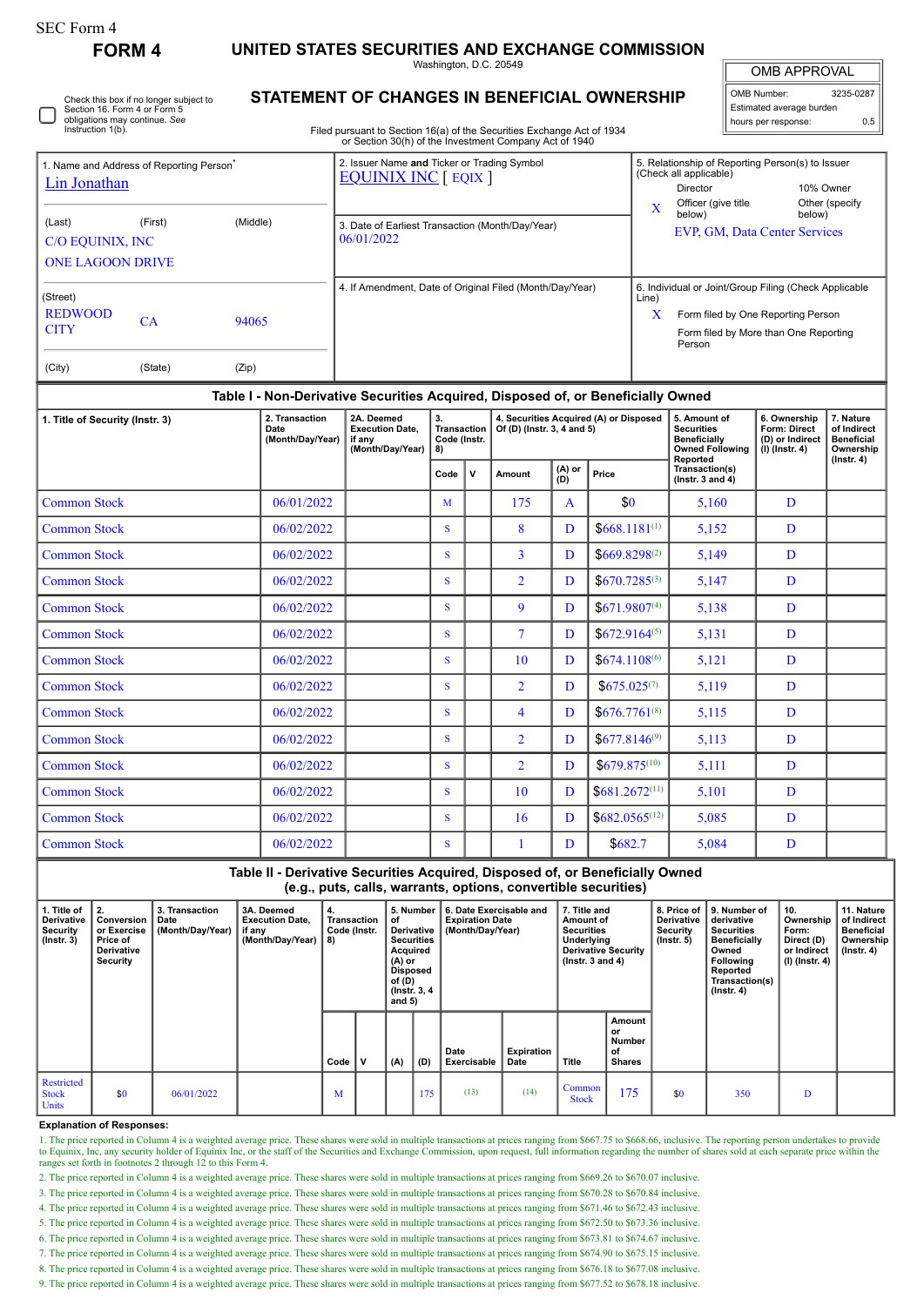## **FORM 4 UNITED STATES SECURITIES AND EXCHANGE COMMISSION**

Washington, D.C. 20549

OMB APPROVAL OMB Number: 3235-0287

| Estimated average burden<br>hours per response: |     |
|-------------------------------------------------|-----|
|                                                 | 0.5 |

Check this box if no longer subject to Section 16. Form 4 or Form 5 obligations may continue. *See* Instruction 1(b).

## **STATEMENT OF CHANGES IN BENEFICIAL OWNERSHIP**

Filed pursuant to Section 16(a) of the Securities Exchange Act of 1934 or Section 30(h) of the Investment Company Act of 1940

| 1. Name and Address of Reporting Person <sup>®</sup><br><b>Lin Jonathan</b><br>(Middle)<br>(Last)<br>(First)<br>C/O EQUINIX, INC<br><b>ONE LAGOON DRIVE</b> |               |                | 2. Issuer Name and Ticker or Trading Symbol<br><b>EQUINIX INC</b> [ EQIX ]<br>3. Date of Earliest Transaction (Month/Day/Year)<br>06/01/2022 | 5. Relationship of Reporting Person(s) to Issuer<br>(Check all applicable)<br>10% Owner<br><b>Director</b><br>Officer (give title<br>Other (specify<br>$\mathbf x$<br>below)<br>below)<br>EVP, GM, Data Center Services |
|-------------------------------------------------------------------------------------------------------------------------------------------------------------|---------------|----------------|----------------------------------------------------------------------------------------------------------------------------------------------|-------------------------------------------------------------------------------------------------------------------------------------------------------------------------------------------------------------------------|
| (Street)<br><b>REDWOOD</b><br><b>CITY</b><br>(City)                                                                                                         | CА<br>(State) | 94065<br>(Zip) | 4. If Amendment, Date of Original Filed (Month/Day/Year)                                                                                     | 6. Individual or Joint/Group Filing (Check Applicable<br>Line)<br>X<br>Form filed by One Reporting Person<br>Form filed by More than One Reporting<br>Person                                                            |

### **Table I - Non-Derivative Securities Acquired, Disposed of, or Beneficially Owned**

| 1. Title of Security (Instr. 3) | 2. Transaction<br>Date<br>(Month/Day/Year) | 2A. Deemed<br><b>Execution Date.</b><br>if any<br>(Month/Day/Year) | 3.<br><b>Transaction</b><br>Code (Instr.<br>8) |             | 4. Securities Acquired (A) or Disposed<br>Of (D) (Instr. 3, 4 and 5) |                   |                    | 5. Amount of<br><b>Securities</b><br><b>Beneficially</b><br><b>Owned Following</b><br>Reported | 6. Ownership<br>Form: Direct<br>(D) or Indirect<br>$(I)$ (Instr. 4) | 7. Nature<br>of Indirect<br><b>Beneficial</b><br>Ownership<br>$($ Instr. 4 $)$ |
|---------------------------------|--------------------------------------------|--------------------------------------------------------------------|------------------------------------------------|-------------|----------------------------------------------------------------------|-------------------|--------------------|------------------------------------------------------------------------------------------------|---------------------------------------------------------------------|--------------------------------------------------------------------------------|
|                                 |                                            |                                                                    | Code                                           | $\mathbf v$ | Amount                                                               | $(A)$ or<br>$(D)$ | Price              | Transaction(s)<br>(Instr. $3$ and $4$ )                                                        |                                                                     |                                                                                |
| <b>Common Stock</b>             | 06/01/2022                                 |                                                                    | M                                              |             | 175                                                                  | A                 | \$0                | 5,160                                                                                          | D                                                                   |                                                                                |
| <b>Common Stock</b>             | 06/02/2022                                 |                                                                    | S.                                             |             | 8                                                                    | D                 | $$668.1181^{(1)}$  | 5,152                                                                                          | D                                                                   |                                                                                |
| <b>Common Stock</b>             | 06/02/2022                                 |                                                                    | S.                                             |             | $\overline{3}$                                                       | D                 | $$669.8298^{(2)}$$ | 5,149                                                                                          | D                                                                   |                                                                                |
| <b>Common Stock</b>             | 06/02/2022                                 |                                                                    | S.                                             |             | $\overline{2}$                                                       | D                 | $$670.7285^{(3)}$$ | 5,147                                                                                          | D                                                                   |                                                                                |
| <b>Common Stock</b>             | 06/02/2022                                 |                                                                    | S.                                             |             | 9                                                                    | D                 | $$671.9807^{(4)}$  | 5,138                                                                                          | D                                                                   |                                                                                |
| <b>Common Stock</b>             | 06/02/2022                                 |                                                                    | S.                                             |             | $\overline{7}$                                                       | D                 | $$672.9164^{(5)}$$ | 5,131                                                                                          | D                                                                   |                                                                                |
| <b>Common Stock</b>             | 06/02/2022                                 |                                                                    | S.                                             |             | 10                                                                   | D                 | $$674.1108^{(6)}$  | 5,121                                                                                          | D                                                                   |                                                                                |
| <b>Common Stock</b>             | 06/02/2022                                 |                                                                    | S.                                             |             | $\overline{2}$                                                       | D                 | $$675.025^{(7)}$$  | 5,119                                                                                          | D                                                                   |                                                                                |
| <b>Common Stock</b>             | 06/02/2022                                 |                                                                    | S.                                             |             | $\overline{4}$                                                       | D                 | $$676.7761^{(8)}$  | 5,115                                                                                          | D                                                                   |                                                                                |
| <b>Common Stock</b>             | 06/02/2022                                 |                                                                    | S.                                             |             | $\overline{2}$                                                       | D                 | $$677.8146^{(9)}$  | 5,113                                                                                          | D                                                                   |                                                                                |
| <b>Common Stock</b>             | 06/02/2022                                 |                                                                    | S.                                             |             | $\overline{2}$                                                       | D                 | $$679.875^{(10)}$  | 5,111                                                                                          | D                                                                   |                                                                                |
| <b>Common Stock</b>             | 06/02/2022                                 |                                                                    | S.                                             |             | 10                                                                   | D                 | $$681.2672^{(11)}$ | 5,101                                                                                          | D                                                                   |                                                                                |
| <b>Common Stock</b>             | 06/02/2022                                 |                                                                    | S.                                             |             | 16                                                                   | D                 | $$682.0565^{(12)}$ | 5,085                                                                                          | D                                                                   |                                                                                |
| <b>Common Stock</b>             | 06/02/2022                                 |                                                                    | S.                                             |             |                                                                      | D                 | \$682.7            | 5,084                                                                                          | D                                                                   |                                                                                |

**Table II - Derivative Securities Acquired, Disposed of, or Beneficially Owned (e.g., puts, calls, warrants, options, convertible securities)**

| 1. Title of<br>Derivative<br>Security<br>$($ lnstr. 3 $)$ | 2.<br>Conversion<br>or Exercise<br>Price of<br>Derivative<br>Security | 3. Transaction<br>Date<br>(Month/Day/Year) | 3A. Deemed<br><b>Execution Date.</b><br>if any<br>(Month/Day/Year)   8) | 4.<br>Transaction<br>Code (Instr. |   | 5. Number<br>6. Date Exercisable and<br>of<br><b>Expiration Date</b><br>Derivative<br>(Month/Day/Year)<br><b>Securities</b><br>Acquired<br>$(A)$ or<br><b>Disposed</b><br>of (D)<br>(Instr. 3, 4)<br>and $5)$ |     |                     | 7. Title and<br>Amount of<br><b>Securities</b><br>Underlying<br><b>Derivative Security</b><br>$($ lnstr. 3 and 4 $)$ |                        | 8. Price of<br><b>Derivative</b><br>Security<br>$($ lnstr. 5 $)$ | 9. Number of<br>derivative<br><b>Securities</b><br>Beneficially<br>Owned<br>Following<br>Reported<br>Transaction(s)<br>$($ Instr. 4 $)$ | 10.<br>Ownership<br>Form:<br>Direct (D)<br>or Indirect<br>$(l)$ (lnstr. 4) | 11. Nature<br>of Indirect<br><b>Beneficial</b><br>Ownership<br>$($ Instr. 4 $)$ |  |
|-----------------------------------------------------------|-----------------------------------------------------------------------|--------------------------------------------|-------------------------------------------------------------------------|-----------------------------------|---|---------------------------------------------------------------------------------------------------------------------------------------------------------------------------------------------------------------|-----|---------------------|----------------------------------------------------------------------------------------------------------------------|------------------------|------------------------------------------------------------------|-----------------------------------------------------------------------------------------------------------------------------------------|----------------------------------------------------------------------------|---------------------------------------------------------------------------------|--|
|                                                           |                                                                       |                                            |                                                                         | Code                              | v | (A)                                                                                                                                                                                                           | (D) | Date<br>Exercisable | Expiration<br>Date                                                                                                   | Title                  | Amount<br>or<br>Number<br>οf<br><b>Shares</b>                    |                                                                                                                                         |                                                                            |                                                                                 |  |
| Restricted<br><b>Stock</b><br>Units                       | \$0                                                                   | 06/01/2022                                 |                                                                         | М                                 |   |                                                                                                                                                                                                               | 175 | (13)                | (14)                                                                                                                 | Common<br><b>Stock</b> | 175                                                              | \$0                                                                                                                                     | 350                                                                        | D                                                                               |  |

#### **Explanation of Responses:**

1. The price reported in Column 4 is a weighted average price. These shares were sold in multiple transactions at prices ranging from \$667.75 to \$668.66, inclusive. The reporting person undertakes to provide<br>to Equinix, In

2. The price reported in Column 4 is a weighted average price. These shares were sold in multiple transactions at prices ranging from \$669.26 to \$670.07 inclusive.

3. The price reported in Column 4 is a weighted average price. These shares were sold in multiple transactions at prices ranging from \$670.28 to \$670.84 inclusive.

4. The price reported in Column 4 is a weighted average price. These shares were sold in multiple transactions at prices ranging from \$671.46 to \$672.43 inclusive.

5. The price reported in Column 4 is a weighted average price. These shares were sold in multiple transactions at prices ranging from \$672.50 to \$673.36 inclusive.

6. The price reported in Column 4 is a weighted average price. These shares were sold in multiple transactions at prices ranging from \$673.81 to \$674.67 inclusive.

7. The price reported in Column 4 is a weighted average price. These shares were sold in multiple transactions at prices ranging from \$674.90 to \$675.15 inclusive.

8. The price reported in Column 4 is a weighted average price. These shares were sold in multiple transactions at prices ranging from \$676.18 to \$677.08 inclusive.

9. The price reported in Column 4 is a weighted average price. These shares were sold in multiple transactions at prices ranging from \$677.52 to \$678.18 inclusive.